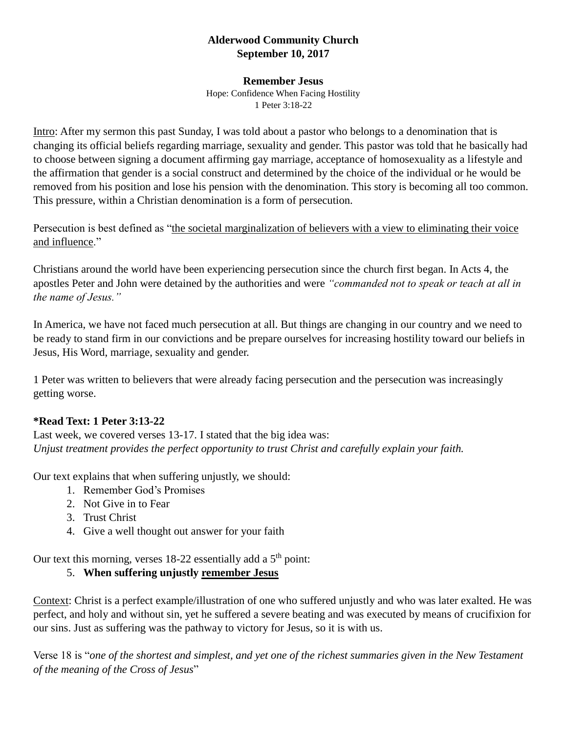## **Alderwood Community Church September 10, 2017**

#### **Remember Jesus**

Hope: Confidence When Facing Hostility 1 Peter 3:18-22

Intro: After my sermon this past Sunday, I was told about a pastor who belongs to a denomination that is changing its official beliefs regarding marriage, sexuality and gender. This pastor was told that he basically had to choose between signing a document affirming gay marriage, acceptance of homosexuality as a lifestyle and the affirmation that gender is a social construct and determined by the choice of the individual or he would be removed from his position and lose his pension with the denomination. This story is becoming all too common. This pressure, within a Christian denomination is a form of persecution.

Persecution is best defined as "the societal marginalization of believers with a view to eliminating their voice and influence"

Christians around the world have been experiencing persecution since the church first began. In Acts 4, the apostles Peter and John were detained by the authorities and were *"commanded not to speak or teach at all in the name of Jesus."*

In America, we have not faced much persecution at all. But things are changing in our country and we need to be ready to stand firm in our convictions and be prepare ourselves for increasing hostility toward our beliefs in Jesus, His Word, marriage, sexuality and gender.

1 Peter was written to believers that were already facing persecution and the persecution was increasingly getting worse.

### **\*Read Text: 1 Peter 3:13-22**

Last week, we covered verses 13-17. I stated that the big idea was: *Unjust treatment provides the perfect opportunity to trust Christ and carefully explain your faith.*

Our text explains that when suffering unjustly, we should:

- 1. Remember God's Promises
- 2. Not Give in to Fear
- 3. Trust Christ
- 4. Give a well thought out answer for your faith

Our text this morning, verses  $18-22$  essentially add a  $5<sup>th</sup>$  point:

## 5. **When suffering unjustly remember Jesus**

Context: Christ is a perfect example/illustration of one who suffered unjustly and who was later exalted. He was perfect, and holy and without sin, yet he suffered a severe beating and was executed by means of crucifixion for our sins. Just as suffering was the pathway to victory for Jesus, so it is with us.

Verse 18 is "*one of the shortest and simplest, and yet one of the richest summaries given in the New Testament of the meaning of the Cross of Jesus*"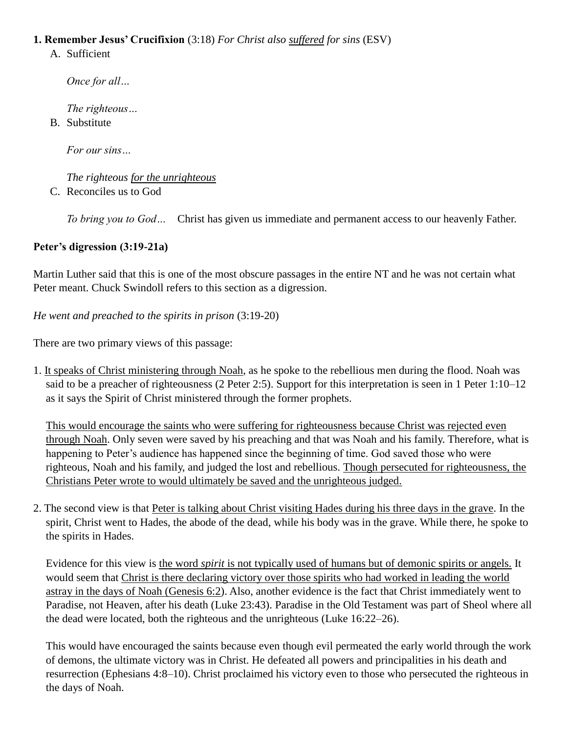## **1. Remember Jesus' Crucifixion** (3:18) *For Christ also suffered for sins* (ESV)

A. Sufficient

*Once for all…*

*The righteous…*

B. Substitute

*For our sins…*

*The righteous for the unrighteous* C. Reconciles us to God

*To bring you to God…* Christ has given us immediate and permanent access to our heavenly Father.

# **Peter's digression (3:19-21a)**

Martin Luther said that this is one of the most obscure passages in the entire NT and he was not certain what Peter meant. Chuck Swindoll refers to this section as a digression.

*He went and preached to the spirits in prison* (3:19-20)

There are two primary views of this passage:

1. It speaks of Christ ministering through Noah, as he spoke to the rebellious men during the flood. Noah was said to be a preacher of righteousness [\(2 Peter](javascript:%7b%7d) 2:5). Support for this interpretation is seen in [1 Peter 1:10–12](javascript:%7b%7d) as it says the Spirit of Christ ministered through the former prophets.

This would encourage the saints who were suffering for righteousness because Christ was rejected even through Noah. Only seven were saved by his preaching and that was Noah and his family. Therefore, what is happening to Peter's audience has happened since the beginning of time. God saved those who were righteous, Noah and his family, and judged the lost and rebellious. Though persecuted for righteousness, the Christians Peter wrote to would ultimately be saved and the unrighteous judged.

2. The second view is that Peter is talking about Christ visiting Hades during his three days in the grave. In the spirit, Christ went to Hades, the abode of the dead, while his body was in the grave. While there, he spoke to the spirits in Hades.

Evidence for this view is the word *spirit* is not typically used of humans but of demonic spirits or angels. It would seem that Christ is there declaring victory over those spirits who had worked in leading the world astray in the days of Noah [\(Genesis](javascript:%7b%7d) 6:2). Also, another evidence is the fact that Christ immediately went to Paradise, not Heaven, after his death [\(Luke 23:43\)](javascript:%7b%7d). Paradise in the Old Testament was part of Sheol where all the dead were located, both the righteous and the unrighteous [\(Luke 16:22–26\)](javascript:%7b%7d).

This would have encouraged the saints because even though evil permeated the early world through the work of demons, the ultimate victory was in Christ. He defeated all powers and principalities in his death and resurrection [\(Ephesians](javascript:%7b%7d) 4:8–10). Christ proclaimed his victory even to those who persecuted the righteous in the days of Noah.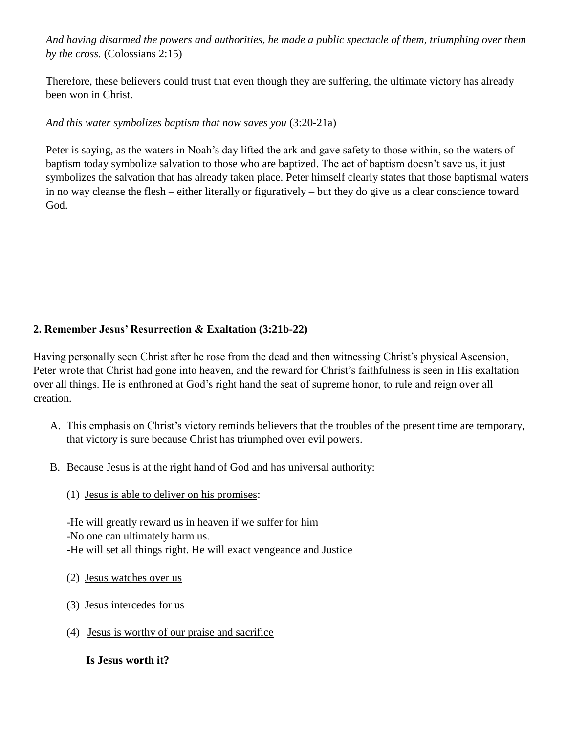*And having disarmed the powers and authorities, he made a public spectacle of them, triumphing over them by the cross.* (Colossians 2:15)

Therefore, these believers could trust that even though they are suffering, the ultimate victory has already been won in Christ.

### *And this water symbolizes baptism that now saves you* (3:20-21a)

Peter is saying, as the waters in Noah's day lifted the ark and gave safety to those within, so the waters of baptism today symbolize salvation to those who are baptized. The act of baptism doesn't save us, it just symbolizes the salvation that has already taken place. Peter himself clearly states that those baptismal waters in no way cleanse the flesh – either literally or figuratively – but they do give us a clear conscience toward God.

## **2. Remember Jesus' Resurrection & Exaltation (3:21b-22)**

Having personally seen Christ after he rose from the dead and then witnessing Christ's physical Ascension, Peter wrote that Christ had gone into heaven, and the reward for Christ's faithfulness is seen in His exaltation over all things. He is enthroned at God's right hand the seat of supreme honor, to rule and reign over all creation.

- A. This emphasis on Christ's victory reminds believers that the troubles of the present time are temporary, that victory is sure because Christ has triumphed over evil powers.
- B. Because Jesus is at the right hand of God and has universal authority:
	- (1) Jesus is able to deliver on his promises:

-He will greatly reward us in heaven if we suffer for him -No one can ultimately harm us. -He will set all things right. He will exact vengeance and Justice

- (2) Jesus watches over us
- (3) Jesus intercedes for us
- (4) Jesus is worthy of our praise and sacrifice

 **Is Jesus worth it?**